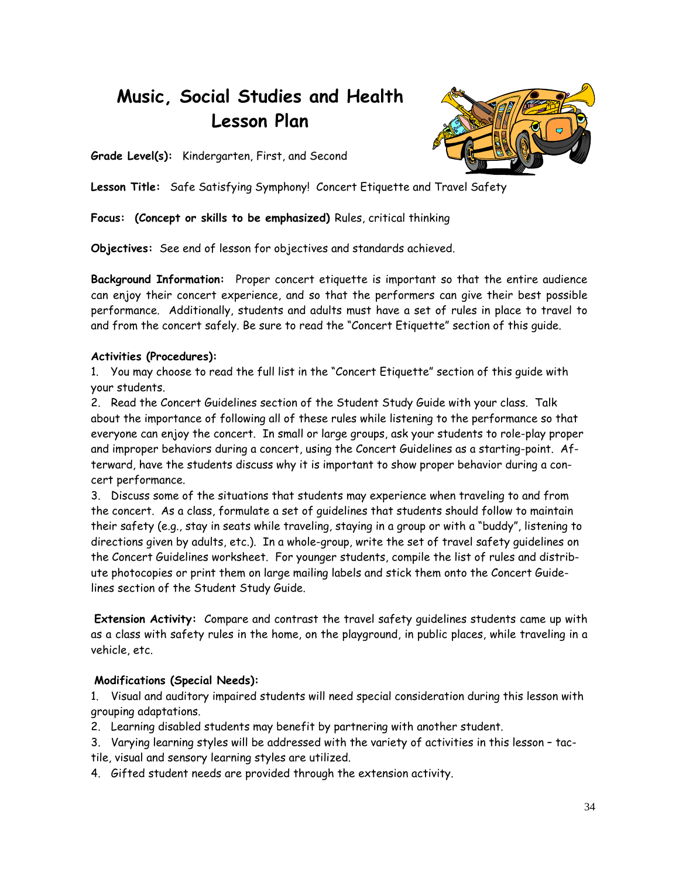# **Music, Social Studies and Health Lesson Plan**



**Grade Level(s):** Kindergarten, First, and Second

**Lesson Title:** Safe Satisfying Symphony! Concert Etiquette and Travel Safety

**Focus: (Concept or skills to be emphasized)** Rules, critical thinking

**Objectives:** See end of lesson for objectives and standards achieved.

**Background Information:** Proper concert etiquette is important so that the entire audience can enjoy their concert experience, and so that the performers can give their best possible performance. Additionally, students and adults must have a set of rules in place to travel to and from the concert safely. Be sure to read the "Concert Etiquette" section of this guide.

# **Activities (Procedures):**

1. You may choose to read the full list in the "Concert Etiquette" section of this guide with your students.

2. Read the Concert Guidelines section of the Student Study Guide with your class. Talk about the importance of following all of these rules while listening to the performance so that everyone can enjoy the concert. In small or large groups, ask your students to role-play proper and improper behaviors during a concert, using the Concert Guidelines as a starting-point. Afterward, have the students discuss why it is important to show proper behavior during a concert performance.

3. Discuss some of the situations that students may experience when traveling to and from the concert. As a class, formulate a set of guidelines that students should follow to maintain their safety (e.g., stay in seats while traveling, staying in a group or with a "buddy", listening to directions given by adults, etc.). In a whole-group, write the set of travel safety guidelines on the Concert Guidelines worksheet. For younger students, compile the list of rules and distribute photocopies or print them on large mailing labels and stick them onto the Concert Guidelines section of the Student Study Guide.

**Extension Activity:** Compare and contrast the travel safety guidelines students came up with as a class with safety rules in the home, on the playground, in public places, while traveling in a vehicle, etc.

## **Modifications (Special Needs):**

1. Visual and auditory impaired students will need special consideration during this lesson with grouping adaptations.

- 2. Learning disabled students may benefit by partnering with another student.
- 3. Varying learning styles will be addressed with the variety of activities in this lesson tactile, visual and sensory learning styles are utilized.
- 4. Gifted student needs are provided through the extension activity.